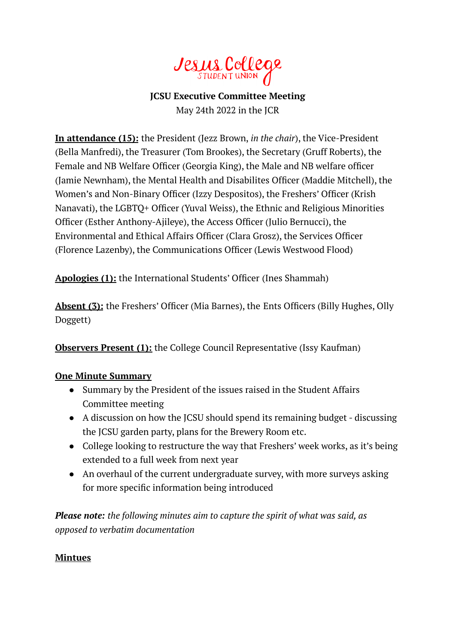

# **JCSU Executive Committee Meeting** May 24th 2022 in the JCR

**In attendance (15):** the President (Jezz Brown, *in the chair*), the Vice-President (Bella Manfredi), the Treasurer (Tom Brookes), the Secretary (Gruff Roberts), the Female and NB Welfare Officer (Georgia King), the Male and NB welfare officer (Jamie Newnham), the Mental Health and Disabilites Officer (Maddie Mitchell), the Women's and Non-Binary Officer (Izzy Despositos), the Freshers' Officer (Krish Nanavati), the LGBTQ+ Officer (Yuval Weiss), the Ethnic and Religious Minorities Officer (Esther Anthony-Ajileye), the Access Officer (Julio Bernucci), the Environmental and Ethical Affairs Officer (Clara Grosz), the Services Officer (Florence Lazenby), the Communications Officer (Lewis Westwood Flood)

**Apologies (1):** the International Students' Officer (Ines Shammah)

**Absent (3):** the Freshers' Officer (Mia Barnes), the Ents Officers (Billy Hughes, Olly Doggett)

**Observers Present (1):** the College Council Representative (Issy Kaufman)

### **One Minute Summary**

- Summary by the President of the issues raised in the Student Affairs Committee meeting
- A discussion on how the JCSU should spend its remaining budget discussing the JCSU garden party, plans for the Brewery Room etc.
- College looking to restructure the way that Freshers' week works, as it's being extended to a full week from next year
- An overhaul of the current undergraduate survey, with more surveys asking for more specific information being introduced

*Please note: the following minutes aim to capture the spirit of what was said, as opposed to verbatim documentation*

### **Mintues**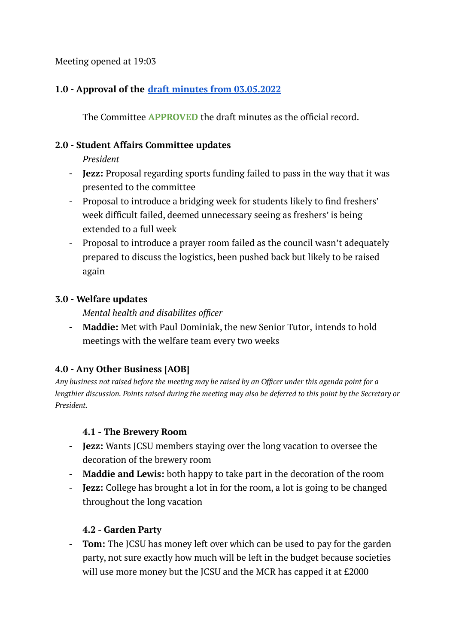Meeting opened at 19:03

## **1.0 - Approval of the draft minutes from [03.05.2022](https://docs.google.com/document/d/19zdRdMMtDqte4mXInJ7AIhjWGT_ah23suo9Kz7JSoNw/edit)**

The Committee **APPROVED** the draft minutes as the official record.

#### **2.0 - Student Affairs Committee updates**

*President*

- **- Jezz:** Proposal regarding sports funding failed to pass in the way that it was presented to the committee
- Proposal to introduce a bridging week for students likely to find freshers' week difficult failed, deemed unnecessary seeing as freshers' is being extended to a full week
- Proposal to introduce a prayer room failed as the council wasn't adequately prepared to discuss the logistics, been pushed back but likely to be raised again

### **3.0 - Welfare updates**

*Mental health and disabilites officer*

**- Maddie:** Met with Paul Dominiak, the new Senior Tutor, intends to hold meetings with the welfare team every two weeks

# **4.0 - Any Other Business [AOB]**

Any business not raised before the meeting may be raised by an Officer under this agenda point for a lengthier discussion. Points raised during the meeting may also be deferred to this point by the Secretary or *President.*

### **4.1 - The Brewery Room**

- **- Jezz:** Wants JCSU members staying over the long vacation to oversee the decoration of the brewery room
- **- Maddie and Lewis:** both happy to take part in the decoration of the room
- **- Jezz:** College has brought a lot in for the room, a lot is going to be changed throughout the long vacation

### **4.2 - Garden Party**

**- Tom:** The JCSU has money left over which can be used to pay for the garden party, not sure exactly how much will be left in the budget because societies will use more money but the JCSU and the MCR has capped it at £2000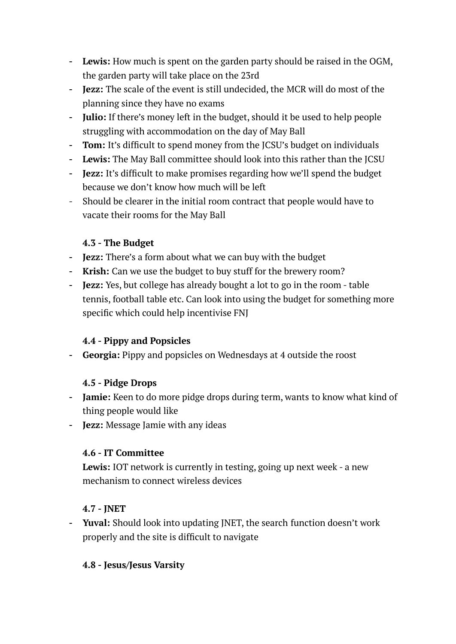- **- Lewis:** How much is spent on the garden party should be raised in the OGM, the garden party will take place on the 23rd
- **- Jezz:** The scale of the event is still undecided, the MCR will do most of the planning since they have no exams
- **- Julio:** If there's money left in the budget, should it be used to help people struggling with accommodation on the day of May Ball
- **- Tom:** It's difficult to spend money from the JCSU's budget on individuals
- **- Lewis:** The May Ball committee should look into this rather than the JCSU
- **- Jezz:** It's difficult to make promises regarding how we'll spend the budget because we don't know how much will be left
- Should be clearer in the initial room contract that people would have to vacate their rooms for the May Ball

### **4.3 - The Budget**

- **- Jezz:** There's a form about what we can buy with the budget
- **- Krish:** Can we use the budget to buy stuff for the brewery room?
- **- Jezz:** Yes, but college has already bought a lot to go in the room table tennis, football table etc. Can look into using the budget for something more specific which could help incentivise FNJ

# **4.4 - Pippy and Popsicles**

**- Georgia:** Pippy and popsicles on Wednesdays at 4 outside the roost

### **4.5 - Pidge Drops**

- **- Jamie:** Keen to do more pidge drops during term, wants to know what kind of thing people would like
- **- Jezz:** Message Jamie with any ideas

### **4.6 - IT Committee**

**Lewis:** IOT network is currently in testing, going up next week - a new mechanism to connect wireless devices

### **4.7 - JNET**

**- Yuval:** Should look into updating JNET, the search function doesn't work properly and the site is difficult to navigate

### **4.8 - Jesus/Jesus Varsity**